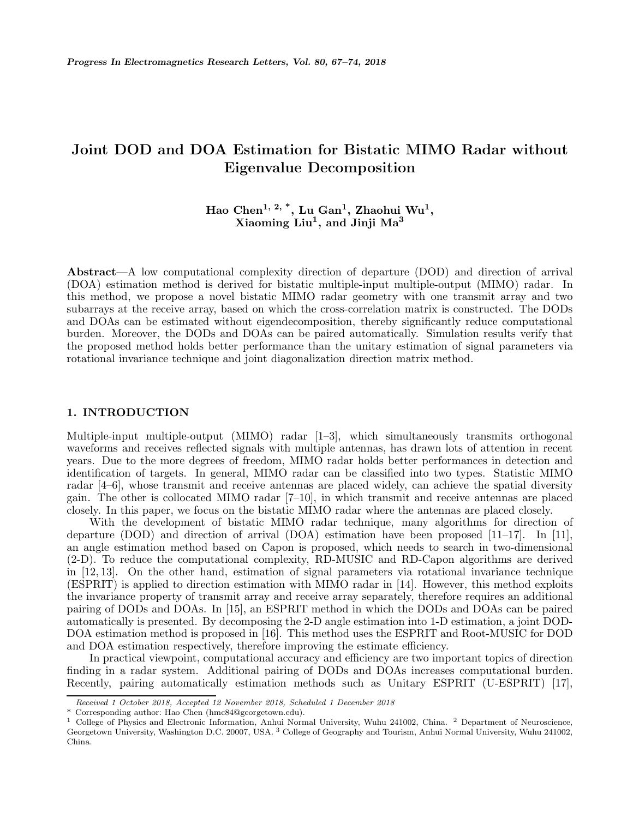# **Joint DOD and DOA Estimation for Bistatic MIMO Radar without Eigenvalue Decomposition**

# **Hao Chen1, 2, \*, Lu Gan1, Zhaohui Wu1, Xiaoming Liu1, and Jinji Ma<sup>3</sup>**

**Abstract**—A low computational complexity direction of departure (DOD) and direction of arrival (DOA) estimation method is derived for bistatic multiple-input multiple-output (MIMO) radar. In this method, we propose a novel bistatic MIMO radar geometry with one transmit array and two subarrays at the receive array, based on which the cross-correlation matrix is constructed. The DODs and DOAs can be estimated without eigendecomposition, thereby significantly reduce computational burden. Moreover, the DODs and DOAs can be paired automatically. Simulation results verify that the proposed method holds better performance than the unitary estimation of signal parameters via rotational invariance technique and joint diagonalization direction matrix method.

# **1. INTRODUCTION**

Multiple-input multiple-output (MIMO) radar [1–3], which simultaneously transmits orthogonal waveforms and receives reflected signals with multiple antennas, has drawn lots of attention in recent years. Due to the more degrees of freedom, MIMO radar holds better performances in detection and identification of targets. In general, MIMO radar can be classified into two types. Statistic MIMO radar [4–6], whose transmit and receive antennas are placed widely, can achieve the spatial diversity gain. The other is collocated MIMO radar [7–10], in which transmit and receive antennas are placed closely. In this paper, we focus on the bistatic MIMO radar where the antennas are placed closely.

With the development of bistatic MIMO radar technique, many algorithms for direction of departure (DOD) and direction of arrival (DOA) estimation have been proposed [11–17]. In [11], an angle estimation method based on Capon is proposed, which needs to search in two-dimensional (2-D). To reduce the computational complexity, RD-MUSIC and RD-Capon algorithms are derived in [12, 13]. On the other hand, estimation of signal parameters via rotational invariance technique (ESPRIT) is applied to direction estimation with MIMO radar in [14]. However, this method exploits the invariance property of transmit array and receive array separately, therefore requires an additional pairing of DODs and DOAs. In [15], an ESPRIT method in which the DODs and DOAs can be paired automatically is presented. By decomposing the 2-D angle estimation into 1-D estimation, a joint DOD-DOA estimation method is proposed in [16]. This method uses the ESPRIT and Root-MUSIC for DOD and DOA estimation respectively, therefore improving the estimate efficiency.

In practical viewpoint, computational accuracy and efficiency are two important topics of direction finding in a radar system. Additional pairing of DODs and DOAs increases computational burden. Recently, pairing automatically estimation methods such as Unitary ESPRIT (U-ESPRIT) [17],

*Received 1 October 2018, Accepted 12 November 2018, Scheduled 1 December 2018*

<sup>\*</sup> Corresponding author: Hao Chen (hmc84@georgetown.edu).

<sup>1</sup> College of Physics and Electronic Information, Anhui Normal University, Wuhu 241002, China. <sup>2</sup> Department of Neuroscience, Georgetown University, Washington D.C. 20007, USA. <sup>3</sup> College of Geography and Tourism, Anhui Normal University, Wuhu 241002, China.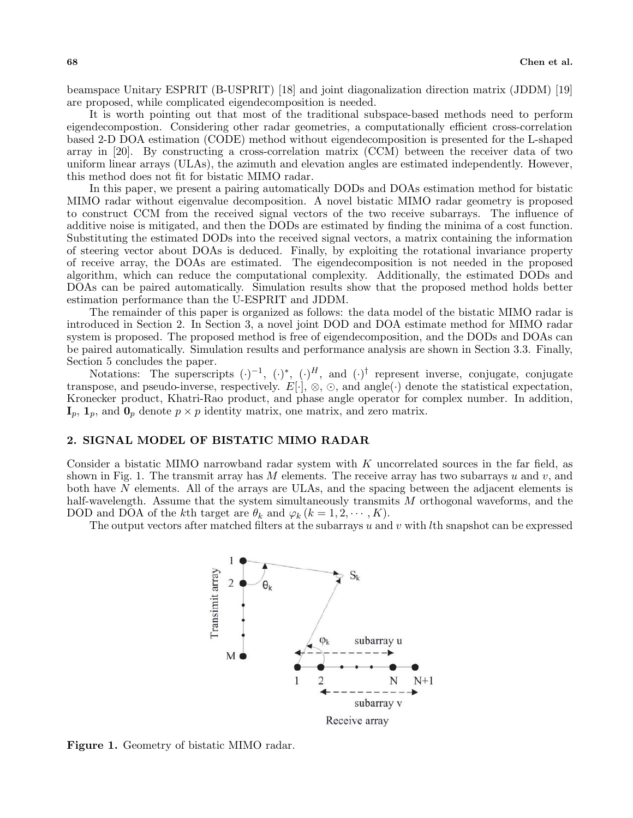beamspace Unitary ESPRIT (B-USPRIT) [18] and joint diagonalization direction matrix (JDDM) [19] are proposed, while complicated eigendecomposition is needed.

It is worth pointing out that most of the traditional subspace-based methods need to perform eigendecompostion. Considering other radar geometries, a computationally efficient cross-correlation based 2-D DOA estimation (CODE) method without eigendecomposition is presented for the L-shaped array in [20]. By constructing a cross-correlation matrix (CCM) between the receiver data of two uniform linear arrays (ULAs), the azimuth and elevation angles are estimated independently. However, this method does not fit for bistatic MIMO radar.

In this paper, we present a pairing automatically DODs and DOAs estimation method for bistatic MIMO radar without eigenvalue decomposition. A novel bistatic MIMO radar geometry is proposed to construct CCM from the received signal vectors of the two receive subarrays. The influence of additive noise is mitigated, and then the DODs are estimated by finding the minima of a cost function. Substituting the estimated DODs into the received signal vectors, a matrix containing the information of steering vector about DOAs is deduced. Finally, by exploiting the rotational invariance property of receive array, the DOAs are estimated. The eigendecomposition is not needed in the proposed algorithm, which can reduce the computational complexity. Additionally, the estimated DODs and DOAs can be paired automatically. Simulation results show that the proposed method holds better estimation performance than the U-ESPRIT and JDDM.

The remainder of this paper is organized as follows: the data model of the bistatic MIMO radar is introduced in Section 2. In Section 3, a novel joint DOD and DOA estimate method for MIMO radar system is proposed. The proposed method is free of eigendecomposition, and the DODs and DOAs can be paired automatically. Simulation results and performance analysis are shown in Section 3.3. Finally, Section 5 concludes the paper.

Notations: The superscripts  $(\cdot)^{-1}$ ,  $(\cdot)^{*}$ ,  $(\cdot)^{H}$ , and  $(\cdot)^{\dagger}$  represent inverse, conjugate, conjugate transpose, and pseudo-inverse, respectively.  $E[\cdot], \otimes, \odot$ , and angle(·) denote the statistical expectation, Kronecker product, Khatri-Rao product, and phase angle operator for complex number. In addition,  $\mathbf{I}_p$ ,  $\mathbf{1}_p$ , and  $\mathbf{0}_p$  denote  $p \times p$  identity matrix, one matrix, and zero matrix.

# **2. SIGNAL MODEL OF BISTATIC MIMO RADAR**

Consider a bistatic MIMO narrowband radar system with  $K$  uncorrelated sources in the far field, as shown in Fig. 1. The transmit array has M elements. The receive array has two subarrays u and v, and both have N elements. All of the arrays are ULAs, and the spacing between the adjacent elements is half-wavelength. Assume that the system simultaneously transmits M orthogonal waveforms, and the DOD and DOA of the kth target are  $\theta_k$  and  $\varphi_k$  ( $k = 1, 2, \dots, K$ ).

The output vectors after matched filters at the subarrays  $u$  and  $v$  with  $l$ th snapshot can be expressed



**Figure 1.** Geometry of bistatic MIMO radar.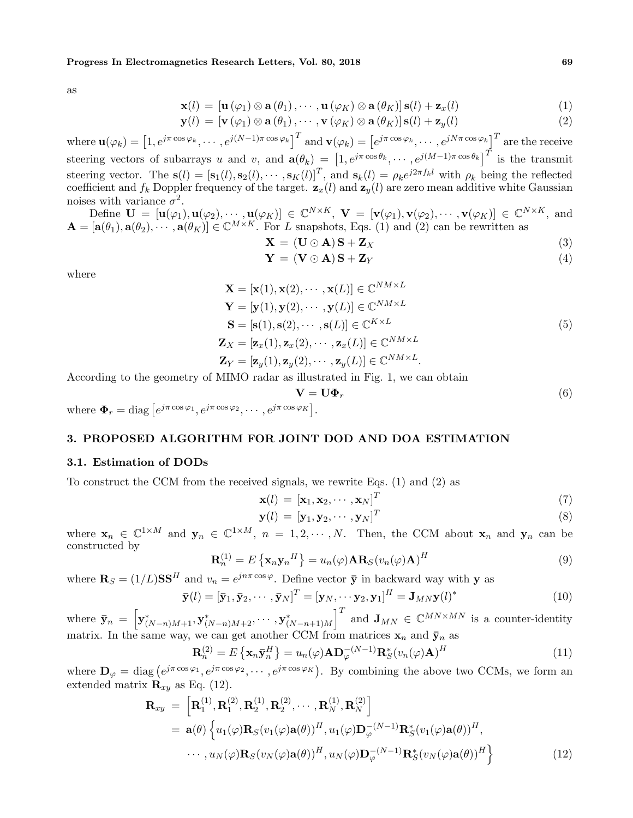#### **Progress In Electromagnetics Research Letters, Vol. 80, 2018 69**

as

$$
\mathbf{x}(l) = [\mathbf{u}(\varphi_1) \otimes \mathbf{a}(\theta_1), \cdots, \mathbf{u}(\varphi_K) \otimes \mathbf{a}(\theta_K)] \mathbf{s}(l) + \mathbf{z}_x(l)
$$
(1)

$$
\mathbf{y}(l) = [\mathbf{v}(\varphi_1) \otimes \mathbf{a}(\theta_1), \cdots, \mathbf{v}(\varphi_K) \otimes \mathbf{a}(\theta_K)] \mathbf{s}(l) + \mathbf{z}_y(l)
$$
(2)

 $\mathbf{u}(\varphi_k) = \left[1, e^{j\pi \cos \varphi_k}, \cdots, e^{j(N-1)\pi \cos \varphi_k} \right]^T$  and  $\mathbf{v}(\varphi_k) = \left[e^{j\pi \cos \varphi_k}, \cdots, e^{jN\pi \cos \varphi_k} \right]^T$  are the receive steering vectors of subarrays u and v, and  $\mathbf{a}(\theta_k) = \left[1, e^{j\pi \cos \theta_k}, \cdots, e^{j(M-1)\pi \cos \theta_k}\right]^T$  is the transmit steering vector. The  $\mathbf{s}(l)=[\mathbf{s}_1(l), \mathbf{s}_2(l), \cdots, \mathbf{s}_K(l)]^T$ , and  $\mathbf{s}_k(l) = \rho_k e^{j2\pi f_k l}$  with  $\rho_k$  being the reflected coefficient and  $f_k$  Doppler frequency of the target.  $\mathbf{z}_x(l)$  and  $\mathbf{z}_y(l)$  are zero mean additive white Gaussian noises with variance  $\sigma^2$ .

Define  $\mathbf{U} = [\mathbf{u}(\varphi_1), \mathbf{u}(\varphi_2), \cdots, \mathbf{u}(\varphi_K)] \in \mathbb{C}^{N \times K}, \ \mathbf{V} = [\mathbf{v}(\varphi_1), \mathbf{v}(\varphi_2), \cdots, \mathbf{v}(\varphi_K)] \in \mathbb{C}^{N \times K},$  and  $\mathbf{A} = [\mathbf{a}(\theta_1), \mathbf{a}(\theta_2), \cdots, \mathbf{a}(\theta_K)] \in \mathbb{C}^{M \times K}$ . For L snapshots, Eqs. (1) and (2) can be rewritten as

$$
\mathbf{X} = (\mathbf{U} \odot \mathbf{A}) \mathbf{S} + \mathbf{Z}_X \tag{3}
$$

$$
\mathbf{Y} = (\mathbf{V} \odot \mathbf{A})\mathbf{S} + \mathbf{Z}_Y \tag{4}
$$

where

$$
\mathbf{X} = [\mathbf{x}(1), \mathbf{x}(2), \cdots, \mathbf{x}(L)] \in \mathbb{C}^{NM \times L}
$$
\n
$$
\mathbf{Y} = [\mathbf{y}(1), \mathbf{y}(2), \cdots, \mathbf{y}(L)] \in \mathbb{C}^{NM \times L}
$$
\n
$$
\mathbf{S} = [\mathbf{s}(1), \mathbf{s}(2), \cdots, \mathbf{s}(L)] \in \mathbb{C}^{K \times L}
$$
\n
$$
\mathbf{Z}_X = [\mathbf{z}_x(1), \mathbf{z}_x(2), \cdots, \mathbf{z}_x(L)] \in \mathbb{C}^{NM \times L}
$$
\n
$$
\mathbf{Z}_Y = [\mathbf{z}_y(1), \mathbf{z}_y(2), \cdots, \mathbf{z}_y(L)] \in \mathbb{C}^{NM \times L}.
$$
\n(5)

According to the geometry of MIMO radar as illustrated in Fig. 1, we can obtain

$$
\mathbf{V} = \mathbf{U}\mathbf{\Phi}_r \tag{6}
$$

where  $\mathbf{\Phi}_r = \text{diag} \left[ e^{j\pi \cos \varphi_1}, e^{j\pi \cos \varphi_2}, \cdots, e^{j\pi \cos \varphi_K} \right]$ .

# **3. PROPOSED ALGORITHM FOR JOINT DOD AND DOA ESTIMATION**

### **3.1. Estimation of DODs**

To construct the CCM from the received signals, we rewrite Eqs. (1) and (2) as

$$
\mathbf{x}(l) = [\mathbf{x}_1, \mathbf{x}_2, \cdots, \mathbf{x}_N]^T
$$
\n(7)

$$
\mathbf{y}(l) = [\mathbf{y}_1, \mathbf{y}_2, \cdots, \mathbf{y}_N]^T
$$
\n(8)

where  $\mathbf{x}_n \in \mathbb{C}^{1 \times M}$  and  $\mathbf{y}_n \in \mathbb{C}^{1 \times M}$ ,  $n = 1, 2, \cdots, N$ . Then, the CCM about  $\mathbf{x}_n$  and  $\mathbf{y}_n$  can be constructed by

$$
\mathbf{R}_n^{(1)} = E\left\{ \mathbf{x}_n \mathbf{y}_n^H \right\} = u_n(\varphi) \mathbf{A} \mathbf{R}_S(v_n(\varphi) \mathbf{A})^H
$$
\n(9)

where  $\mathbf{R}_S = (1/L)\mathbf{SS}^H$  and  $v_n = e^{jn\pi \cos \varphi}$ . Define vector  $\bar{\mathbf{y}}$  in backward way with **y** as

$$
\overline{\mathbf{y}}(l) = [\overline{\mathbf{y}}_1, \overline{\mathbf{y}}_2, \cdots, \overline{\mathbf{y}}_N]^T = [\mathbf{y}_N, \cdots, \mathbf{y}_2, \mathbf{y}_1]^H = \mathbf{J}_{MN} \mathbf{y}(l)^*
$$
(10)

where  $\bar{\mathbf{y}}_n = \left[ \mathbf{y}_{(N-n)M+1}^*, \mathbf{y}_{(N-n)M+2}^*, \cdots, \mathbf{y}_{(N-n+1)M}^* \right]$  $\left| \begin{array}{c} T \end{array} \right|$  and  $\mathbf{J}_{MN} \in \mathbb{C}^{MN \times MN}$  is a counter-identity matrix. In the same way, we can get another CCM from matrices  $\mathbf{x}_n$  and  $\bar{\mathbf{y}}_n$  as

$$
\mathbf{R}_n^{(2)} = E\left\{ \mathbf{x}_n \bar{\mathbf{y}}_n^H \right\} = u_n(\varphi) \mathbf{A} \mathbf{D}_{\varphi}^{-(N-1)} \mathbf{R}_S^*(v_n(\varphi) \mathbf{A})^H
$$
(11)

where  $\mathbf{D}_{\varphi} = \text{diag} (e^{j\pi \cos \varphi_1}, e^{j\pi \cos \varphi_2}, \cdots, e^{j\pi \cos \varphi_K}).$  By combining the above two CCMs, we form an extended matrix  $\mathbf{R}_{xy}$  as Eq. (12).

$$
\mathbf{R}_{xy} = \left[ \mathbf{R}_{1}^{(1)}, \mathbf{R}_{1}^{(2)}, \mathbf{R}_{2}^{(1)}, \mathbf{R}_{2}^{(2)}, \cdots, \mathbf{R}_{N}^{(1)}, \mathbf{R}_{N}^{(2)} \right]
$$
\n
$$
= \mathbf{a}(\theta) \left\{ u_{1}(\varphi) \mathbf{R}_{S}(v_{1}(\varphi) \mathbf{a}(\theta))^{H}, u_{1}(\varphi) \mathbf{D}_{\varphi}^{-(N-1)} \mathbf{R}_{S}^{*}(v_{1}(\varphi) \mathbf{a}(\theta))^{H}, \cdots, u_{N}(\varphi) \mathbf{R}_{S}(v_{N}(\varphi) \mathbf{a}(\theta))^{H}, u_{N}(\varphi) \mathbf{D}_{\varphi}^{-(N-1)} \mathbf{R}_{S}^{*}(v_{N}(\varphi) \mathbf{a}(\theta))^{H} \right\}
$$
\n(12)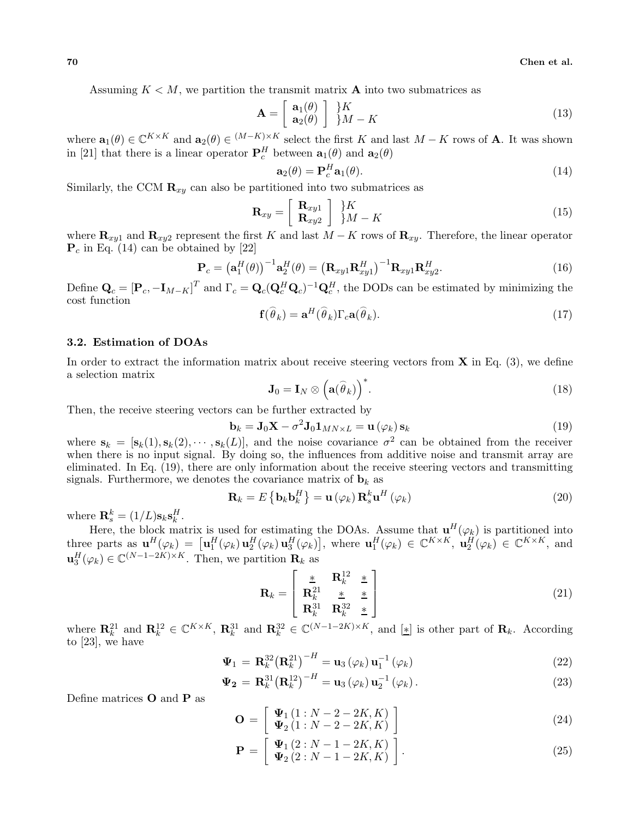Assuming  $K < M$ , we partition the transmit matrix **A** into two submatrices as

$$
\mathbf{A} = \left[ \begin{array}{c} \mathbf{a}_1(\theta) \\ \mathbf{a}_2(\theta) \end{array} \right] \begin{array}{c} \frac{1}{2}K \\ \frac{1}{2}M - K \end{array} \tag{13}
$$

where  $\mathbf{a}_1(\theta) \in \mathbb{C}^{K \times K}$  and  $\mathbf{a}_2(\theta) \in (M-K) \times K$  select the first K and last  $M - K$  rows of **A**. It was shown in [21] that there is a linear operator  $P_c^H$  between  $\mathbf{a}_1(\theta)$  and  $\mathbf{a}_2(\theta)$ 

$$
\mathbf{a}_2(\theta) = \mathbf{P}_c^H \mathbf{a}_1(\theta). \tag{14}
$$

Similarly, the CCM  $\mathbf{R}_{xy}$  can also be partitioned into two submatrices as

$$
\mathbf{R}_{xy} = \left[ \begin{array}{c} \mathbf{R}_{xy1} \\ \mathbf{R}_{xy2} \end{array} \right] \begin{array}{c} \}K \\ \}M - K \end{array} \tag{15}
$$

where  $\mathbf{R}_{xy1}$  and  $\mathbf{R}_{xy2}$  represent the first K and last  $M - K$  rows of  $\mathbf{R}_{xy}$ . Therefore, the linear operator  $P_c$  in Eq. (14) can be obtained by [22]

$$
\mathbf{P}_c = \left(\mathbf{a}_1^H(\theta)\right)^{-1} \mathbf{a}_2^H(\theta) = \left(\mathbf{R}_{xy1}\mathbf{R}_{xy1}^H\right)^{-1} \mathbf{R}_{xy1}\mathbf{R}_{xy2}^H.
$$
 (16)

Define  $\mathbf{Q}_c = [\mathbf{P}_c, -\mathbf{I}_{M-K}]^T$  and  $\Gamma_c = \mathbf{Q}_c(\mathbf{Q}_c^H \mathbf{Q}_c)^{-1} \mathbf{Q}_c^H$ , the DODs can be estimated by minimizing the cost function  $\overline{C}$  $\overline{C}$  $\overline{C}$ 

$$
\mathbf{f}(\hat{\theta}_k) = \mathbf{a}^H(\hat{\theta}_k) \Gamma_c \mathbf{a}(\hat{\theta}_k).
$$
 (17)

#### **3.2. Estimation of DOAs**

In order to extract the information matrix about receive steering vectors from **X** in Eq. (3), we define a selection matrix

$$
\mathbf{J}_0 = \mathbf{I}_N \otimes \left(\mathbf{a}(\widehat{\theta}_k)\right)^*.
$$
 (18)

Then, the receive steering vectors can be further extracted by

$$
\mathbf{b}_{k} = \mathbf{J}_{0}\mathbf{X} - \sigma^{2}\mathbf{J}_{0}\mathbf{1}_{MN\times L} = \mathbf{u}\left(\varphi_{k}\right)\mathbf{s}_{k} \tag{19}
$$

where  $\mathbf{s}_k = [\mathbf{s}_k(1), \mathbf{s}_k(2), \cdots, \mathbf{s}_k(L)]$ , and the noise covariance  $\sigma^2$  can be obtained from the receiver when there is no input signal. By doing so, the influences from additive noise and transmit array are eliminated. In Eq. (19), there are only information about the receive steering vectors and transmitting signals. Furthermore, we denotes the covariance matrix of  $\mathbf{b}_k$  as

$$
\mathbf{R}_{k} = E\left\{\mathbf{b}_{k}\mathbf{b}_{k}^{H}\right\} = \mathbf{u}\left(\varphi_{k}\right)\mathbf{R}_{s}^{k}\mathbf{u}^{H}\left(\varphi_{k}\right)
$$
\n(20)

where  $\mathbf{R}_s^k = (1/L)\mathbf{s}_k \mathbf{s}_k^H$ .

Here, the block matrix is used for estimating the DOAs. Assume that  $\mathbf{u}^H(\varphi_k)$  is partitioned into three parts as  $\mathbf{u}^H(\varphi_k) = \left[\mathbf{u}_1^H(\varphi_k) \mathbf{u}_2^H(\varphi_k) \mathbf{u}_3^H(\varphi_k)\right]$ , where  $\mathbf{u}_1^H(\varphi_k) \in \mathbb{C}^{K \times K}$ ,  $\mathbf{u}_2^H(\varphi_k) \in \mathbb{C}^{K \times K}$ , and  $\mathbf{u}_3^H(\varphi_k) \in \mathbb{C}^{(N-1-2K)\times K}$ . Then, we partition  $\mathbf{R}_k$  as

$$
\mathbf{R}_k = \begin{bmatrix} \frac{\ast}{\mathbf{R}_k^{21}} & \frac{\ast}{\mathbf{R}_k^{22}} & \frac{\ast}{\mathbf{R}_k^{32}} \\ \mathbf{R}_k^{31} & \mathbf{R}_k^{32} & \frac{\ast}{\mathbf{R}_k^{32}} \end{bmatrix}
$$
(21)

where  $\mathbf{R}_k^{21}$  and  $\mathbf{R}_k^{12} \in \mathbb{C}^{K \times K}$ ,  $\mathbf{R}_k^{31}$  and  $\mathbf{R}_k^{32} \in \mathbb{C}^{(N-1-2K)\times K}$ , and  $[\underline{\ast}]$  is other part of  $\mathbf{R}_k$ . According to [23], we have

$$
\Psi_1 = \mathbf{R}_k^{32} \big( \mathbf{R}_k^{21} \big)^{-H} = \mathbf{u}_3 \left( \varphi_k \right) \mathbf{u}_1^{-1} \left( \varphi_k \right) \tag{22}
$$

$$
\mathbf{\Psi_2} = \mathbf{R}_k^{31} \left( \mathbf{R}_k^{12} \right)^{-H} = \mathbf{u}_3 \left( \varphi_k \right) \mathbf{u}_2^{-1} \left( \varphi_k \right). \tag{23}
$$

Define matrices **O** and **P** as

$$
\mathbf{O} = \left[ \begin{array}{c} \Psi_1 \left( 1 : N - 2 - 2K, K \right) \\ \Psi_2 \left( 1 : N - 2 - 2K, K \right) \end{array} \right] \tag{24}
$$

$$
\mathbf{P} = \left[ \begin{array}{c} \mathbf{\Psi}_1 \left( 2: N - 1 - 2K, K \right) \\ \mathbf{\Psi}_2 \left( 2: N - 1 - 2K, K \right) \end{array} \right]. \tag{25}
$$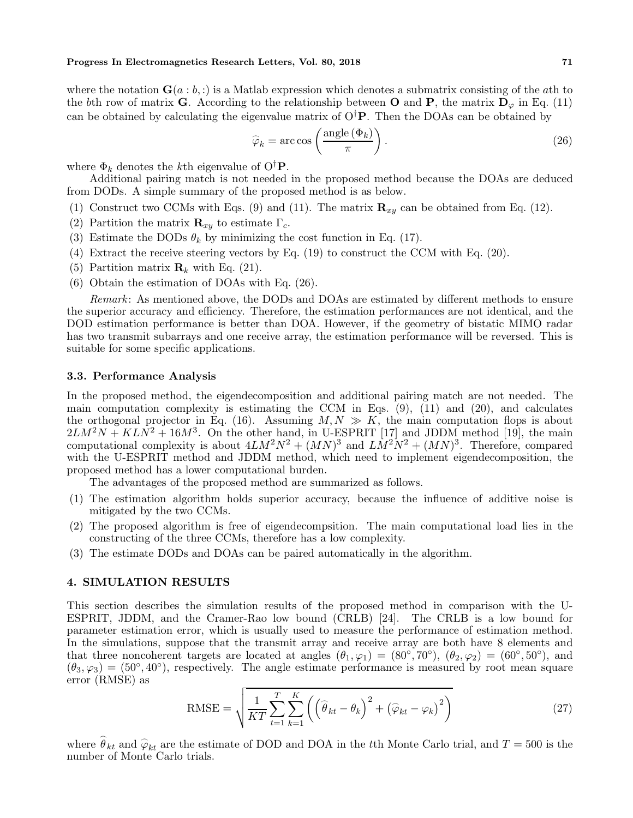where the notation  $\mathbf{G}(a : b, :)$  is a Matlab expression which denotes a submatrix consisting of the ath to the bth row of matrix **G**. According to the relationship between **O** and **P**, the matrix  $D_{\varphi}$  in Eq. (11) can be obtained by calculating the eigenvalue matrix of  $O^{\dagger}P$ . Then the DOAs can be obtained by

$$
\widehat{\varphi}_k = \arccos\left(\frac{\text{angle}(\Phi_k)}{\pi}\right). \tag{26}
$$

where  $\Phi_k$  denotes the k<sup>th</sup> eigenvalue of  $O^{\dagger}$ **P**.

Additional pairing match is not needed in the proposed method because the DOAs are deduced from DODs. A simple summary of the proposed method is as below.

- (1) Construct two CCMs with Eqs. (9) and (11). The matrix  $\mathbf{R}_{xy}$  can be obtained from Eq. (12).
- (2) Partition the matrix  $\mathbf{R}_{xy}$  to estimate  $\Gamma_c$ .
- (3) Estimate the DODs  $\theta_k$  by minimizing the cost function in Eq. (17).
- (4) Extract the receive steering vectors by Eq. (19) to construct the CCM with Eq. (20).
- (5) Partition matrix  $\mathbf{R}_k$  with Eq. (21).
- (6) Obtain the estimation of DOAs with Eq. (26).

*Remark*: As mentioned above, the DODs and DOAs are estimated by different methods to ensure the superior accuracy and efficiency. Therefore, the estimation performances are not identical, and the DOD estimation performance is better than DOA. However, if the geometry of bistatic MIMO radar has two transmit subarrays and one receive array, the estimation performance will be reversed. This is suitable for some specific applications.

#### **3.3. Performance Analysis**

In the proposed method, the eigendecomposition and additional pairing match are not needed. The main computation complexity is estimating the CCM in Eqs.  $(9)$ ,  $(11)$  and  $(20)$ , and calculates the orthogonal projector in Eq. (16). Assuming  $M, N \gg K$ , the main computation flops is about  $2LM^2N + KLN^2 + 16M^3$ . On the other hand, in U-ESPRIT [17] and JDDM method [19], the main computational complexity is about  $4LM^2N^2 + (MN)^3$  and  $LM^2N^2 + (MN)^3$ . Therefore, compared with the U-ESPRIT method and JDDM method, which need to implement eigendecomposition, the proposed method has a lower computational burden.

The advantages of the proposed method are summarized as follows.

- (1) The estimation algorithm holds superior accuracy, because the influence of additive noise is mitigated by the two CCMs.
- (2) The proposed algorithm is free of eigendecompsition. The main computational load lies in the constructing of the three CCMs, therefore has a low complexity.
- (3) The estimate DODs and DOAs can be paired automatically in the algorithm.

### **4. SIMULATION RESULTS**

This section describes the simulation results of the proposed method in comparison with the U-ESPRIT, JDDM, and the Cramer-Rao low bound (CRLB) [24]. The CRLB is a low bound for parameter estimation error, which is usually used to measure the performance of estimation method. In the simulations, suppose that the transmit array and receive array are both have 8 elements and that three noncoherent targets are located at angles  $(\theta_1, \varphi_1) = (80^\circ, 70^\circ), (\theta_2, \varphi_2) = (60^\circ, 50^\circ),$  and  $(\theta_3, \varphi_3) = (50^\circ, 40^\circ)$ , respectively. The angle estimate performance is measured by root mean square error (RMSE) as

$$
\text{RMSE} = \sqrt{\frac{1}{KT} \sum_{t=1}^{T} \sum_{k=1}^{K} \left( \left( \widehat{\theta}_{kt} - \theta_{k} \right)^{2} + \left( \widehat{\varphi}_{kt} - \varphi_{k} \right)^{2} \right)}
$$
(27)

where  $\hat{\theta}_{kt}$  and  $\hat{\varphi}_{kt}$  are the estimate of DOD and DOA in the tth Monte Carlo trial, and  $T = 500$  is the number of Monte Carlo trials.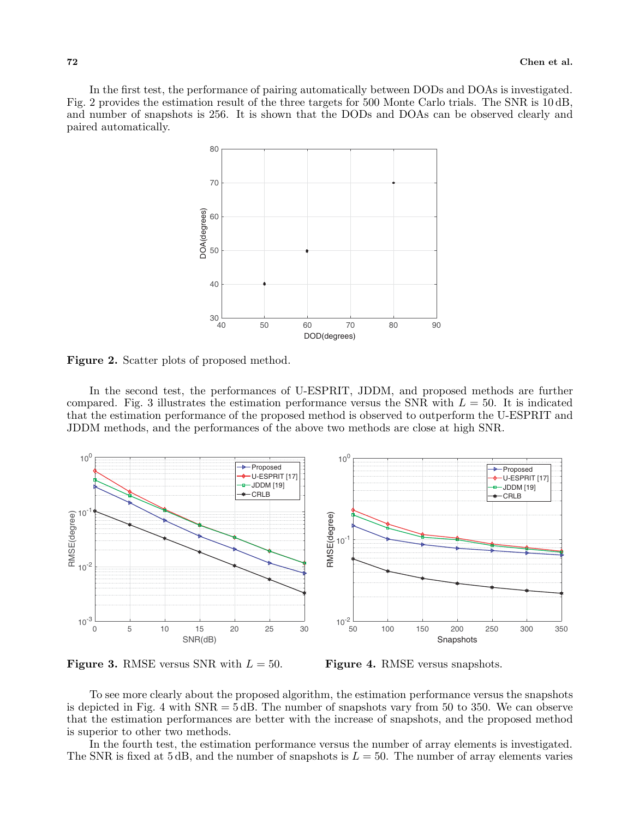In the first test, the performance of pairing automatically between DODs and DOAs is investigated. Fig. 2 provides the estimation result of the three targets for 500 Monte Carlo trials. The SNR is 10 dB, and number of snapshots is 256. It is shown that the DODs and DOAs can be observed clearly and paired automatically.



**Figure 2.** Scatter plots of proposed method.

In the second test, the performances of U-ESPRIT, JDDM, and proposed methods are further compared. Fig. 3 illustrates the estimation performance versus the SNR with  $L = 50$ . It is indicated that the estimation performance of the proposed method is observed to outperform the U-ESPRIT and JDDM methods, and the performances of the above two methods are close at high SNR.



**Figure 3.** RMSE versus SNR with  $L = 50$ .

**Figure 4.** RMSE versus snapshots.

To see more clearly about the proposed algorithm, the estimation performance versus the snapshots is depicted in Fig. 4 with  $SNR = 5$  dB. The number of snapshots vary from 50 to 350. We can observe that the estimation performances are better with the increase of snapshots, and the proposed method is superior to other two methods.

In the fourth test, the estimation performance versus the number of array elements is investigated. The SNR is fixed at 5 dB, and the number of snapshots is  $L = 50$ . The number of array elements varies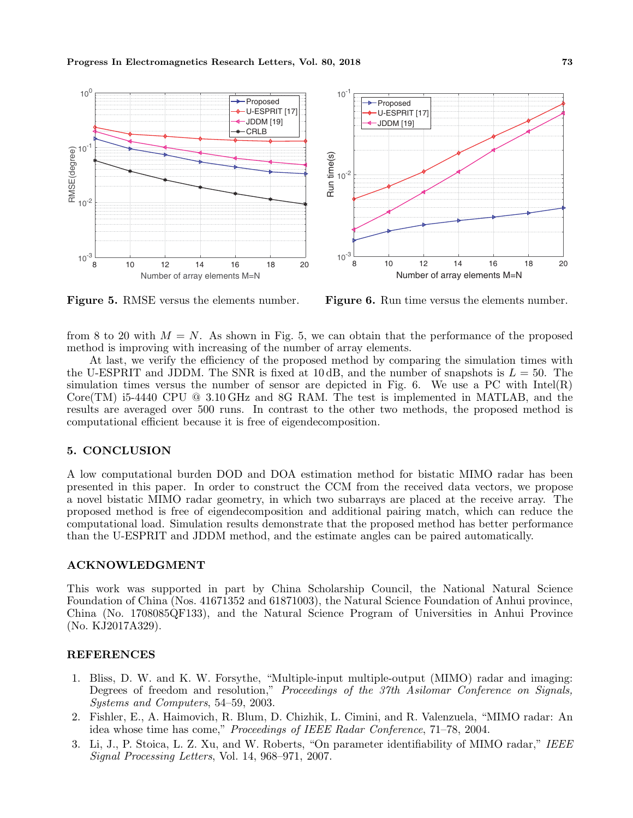

**Figure 5.** RMSE versus the elements number.

**Figure 6.** Run time versus the elements number.

from 8 to 20 with  $M = N$ . As shown in Fig. 5, we can obtain that the performance of the proposed method is improving with increasing of the number of array elements.

At last, we verify the efficiency of the proposed method by comparing the simulation times with the U-ESPRIT and JDDM. The SNR is fixed at 10 dB, and the number of snapshots is  $L = 50$ . The simulation times versus the number of sensor are depicted in Fig. 6. We use a PC with  $Intel(R)$ Core(TM) i5-4440 CPU @ 3.10 GHz and 8G RAM. The test is implemented in MATLAB, and the results are averaged over 500 runs. In contrast to the other two methods, the proposed method is computational efficient because it is free of eigendecomposition.

# **5. CONCLUSION**

A low computational burden DOD and DOA estimation method for bistatic MIMO radar has been presented in this paper. In order to construct the CCM from the received data vectors, we propose a novel bistatic MIMO radar geometry, in which two subarrays are placed at the receive array. The proposed method is free of eigendecomposition and additional pairing match, which can reduce the computational load. Simulation results demonstrate that the proposed method has better performance than the U-ESPRIT and JDDM method, and the estimate angles can be paired automatically.

# **ACKNOWLEDGMENT**

This work was supported in part by China Scholarship Council, the National Natural Science Foundation of China (Nos. 41671352 and 61871003), the Natural Science Foundation of Anhui province, China (No. 1708085QF133), and the Natural Science Program of Universities in Anhui Province (No. KJ2017A329).

# **REFERENCES**

- 1. Bliss, D. W. and K. W. Forsythe, "Multiple-input multiple-output (MIMO) radar and imaging: Degrees of freedom and resolution," *Proceedings of the 37th Asilomar Conference on Signals, Systems and Computers*, 54–59, 2003.
- 2. Fishler, E., A. Haimovich, R. Blum, D. Chizhik, L. Cimini, and R. Valenzuela, "MIMO radar: An idea whose time has come," *Proceedings of IEEE Radar Conference*, 71–78, 2004.
- 3. Li, J., P. Stoica, L. Z. Xu, and W. Roberts, "On parameter identifiability of MIMO radar," *IEEE Signal Processing Letters*, Vol. 14, 968–971, 2007.